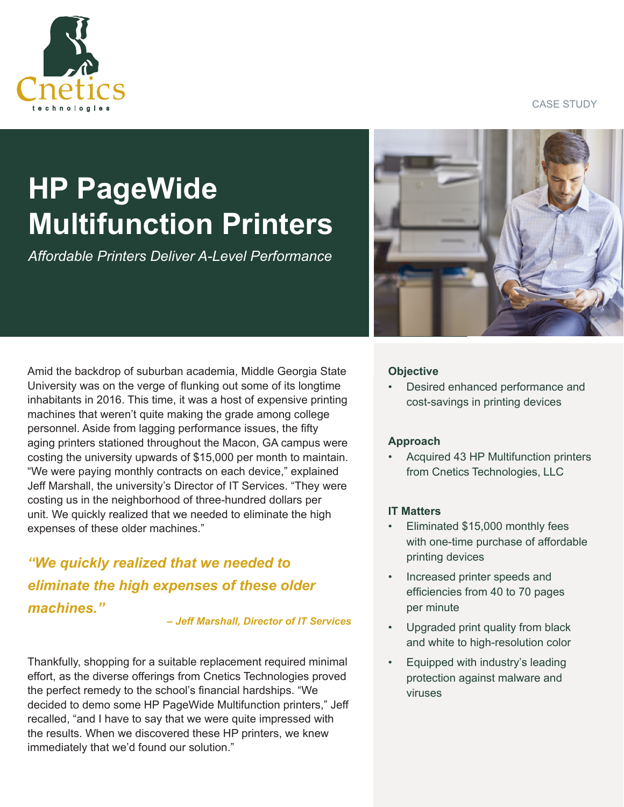CASE STUDY



# **HP PageWide Multifunction Printers**

*Affordable Printers Deliver A-Level Performance*

Amid the backdrop of suburban academia, Middle Georgia State University was on the verge of flunking out some of its longtime inhabitants in 2016. This time, it was a host of expensive printing machines that weren't quite making the grade among college personnel. Aside from lagging performance issues, the fifty aging printers stationed throughout the Macon, GA campus were costing the university upwards of \$15,000 per month to maintain. "We were paying monthly contracts on each device," explained Jeff Marshall, the university's Director of IT Services. "They were costing us in the neighborhood of three-hundred dollars per unit. We quickly realized that we needed to eliminate the high expenses of these older machines."

*"We quickly realized that we needed to eliminate the high expenses of these older machines."* 

*– Jeff Marshall, Director of IT Services* 

Thankfully, shopping for a suitable replacement required minimal effort, as the diverse offerings from Cnetics Technologies proved the perfect remedy to the school's financial hardships. "We decided to demo some HP PageWide Multifunction printers," Jeff recalled, "and I have to say that we were quite impressed with the results. When we discovered these HP printers, we knew immediately that we'd found our solution."



## **Objective**

• Desired enhanced performance and cost-savings in printing devices

## **Approach**

• Acquired 43 HP Multifunction printers from Cnetics Technologies, LLC

#### **IT Matters**

- Eliminated \$15,000 monthly fees with one-time purchase of affordable printing devices
- Increased printer speeds and efficiencies from 40 to 70 pages per minute
- Upgraded print quality from black and white to high-resolution color
- Equipped with industry's leading protection against malware and viruses